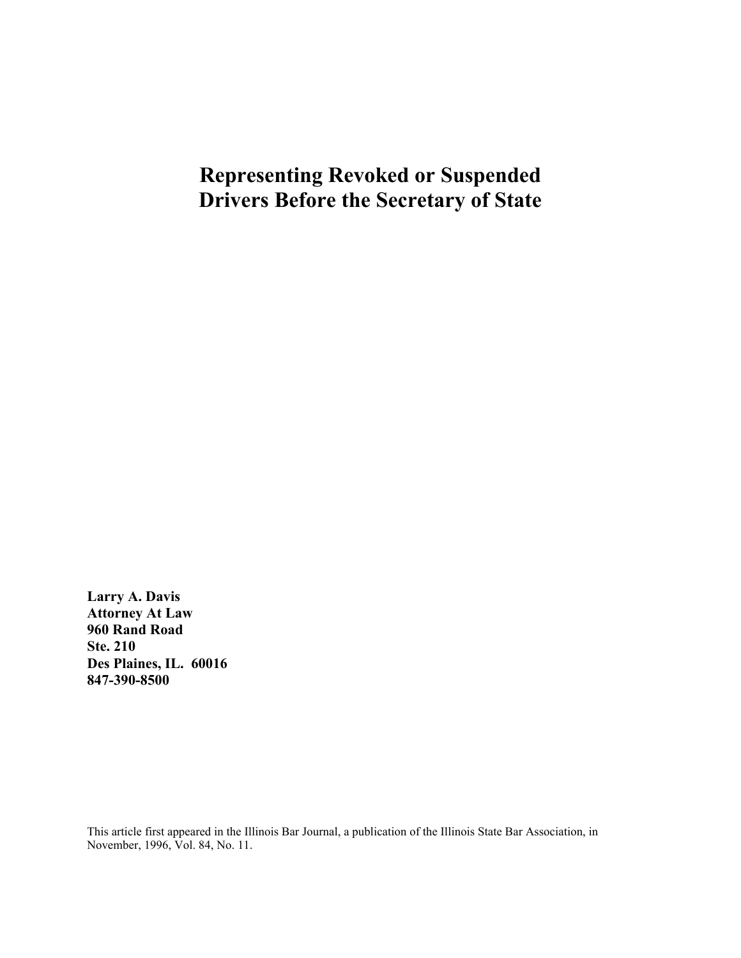# **Representing Revoked or Suspended Drivers Before the Secretary of State**

**Larry A. Davis Attorney At Law 960 Rand Road Ste. 210 Des Plaines, IL. 60016 847-390-8500**

This article first appeared in the Illinois Bar Journal, a publication of the Illinois State Bar Association, in November, 1996, Vol. 84, No. 11.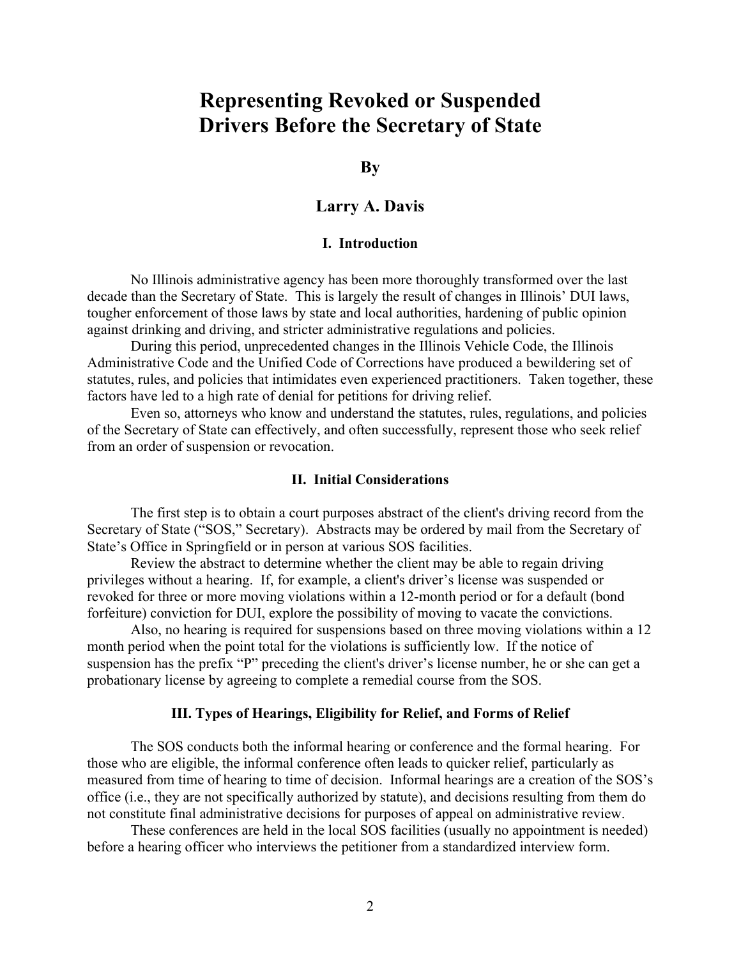# **Representing Revoked or Suspended Drivers Before the Secretary of State**

**By**

# **Larry A. Davis**

# **I. Introduction**

No Illinois administrative agency has been more thoroughly transformed over the last decade than the Secretary of State. This is largely the result of changes in Illinois' DUI laws, tougher enforcement of those laws by state and local authorities, hardening of public opinion against drinking and driving, and stricter administrative regulations and policies.

During this period, unprecedented changes in the Illinois Vehicle Code, the Illinois Administrative Code and the Unified Code of Corrections have produced a bewildering set of statutes, rules, and policies that intimidates even experienced practitioners. Taken together, these factors have led to a high rate of denial for petitions for driving relief.

Even so, attorneys who know and understand the statutes, rules, regulations, and policies of the Secretary of State can effectively, and often successfully, represent those who seek relief from an order of suspension or revocation.

#### **II. Initial Considerations**

The first step is to obtain a court purposes abstract of the client's driving record from the Secretary of State ("SOS," Secretary). Abstracts may be ordered by mail from the Secretary of State's Office in Springfield or in person at various SOS facilities.

Review the abstract to determine whether the client may be able to regain driving privileges without a hearing. If, for example, a client's driver's license was suspended or revoked for three or more moving violations within a 12-month period or for a default (bond forfeiture) conviction for DUI, explore the possibility of moving to vacate the convictions.

Also, no hearing is required for suspensions based on three moving violations within a 12 month period when the point total for the violations is sufficiently low. If the notice of suspension has the prefix "P" preceding the client's driver's license number, he or she can get a probationary license by agreeing to complete a remedial course from the SOS.

#### **III. Types of Hearings, Eligibility for Relief, and Forms of Relief**

The SOS conducts both the informal hearing or conference and the formal hearing. For those who are eligible, the informal conference often leads to quicker relief, particularly as measured from time of hearing to time of decision. Informal hearings are a creation of the SOS's office (i.e., they are not specifically authorized by statute), and decisions resulting from them do not constitute final administrative decisions for purposes of appeal on administrative review.

These conferences are held in the local SOS facilities (usually no appointment is needed) before a hearing officer who interviews the petitioner from a standardized interview form.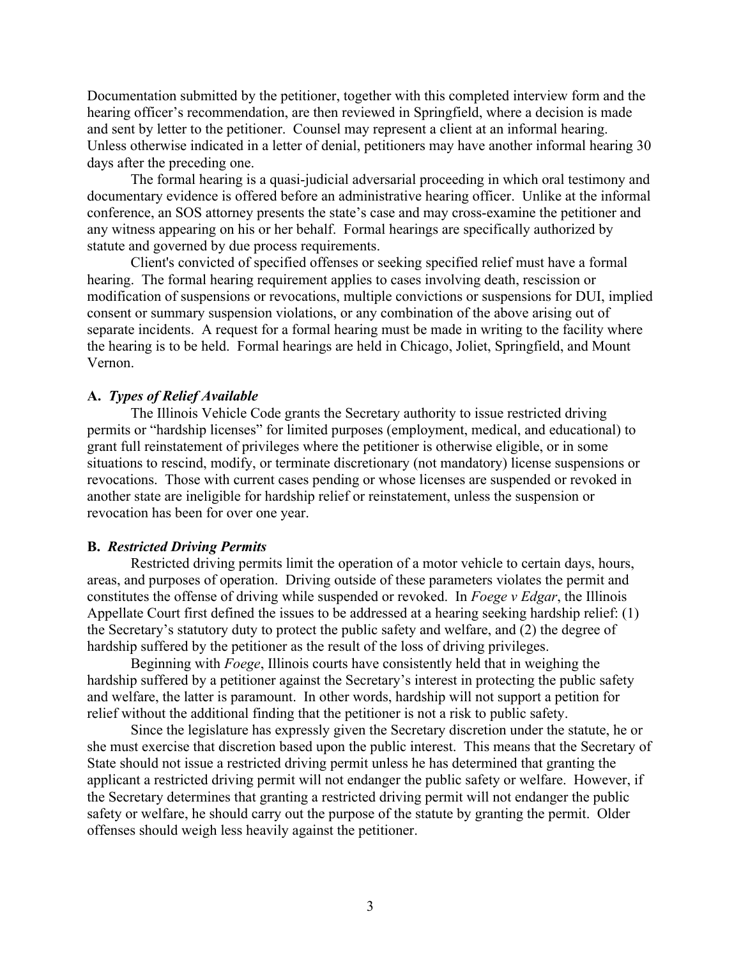Documentation submitted by the petitioner, together with this completed interview form and the hearing officer's recommendation, are then reviewed in Springfield, where a decision is made and sent by letter to the petitioner. Counsel may represent a client at an informal hearing. Unless otherwise indicated in a letter of denial, petitioners may have another informal hearing 30 days after the preceding one.

The formal hearing is a quasi-judicial adversarial proceeding in which oral testimony and documentary evidence is offered before an administrative hearing officer. Unlike at the informal conference, an SOS attorney presents the state's case and may cross-examine the petitioner and any witness appearing on his or her behalf. Formal hearings are specifically authorized by statute and governed by due process requirements.

Client's convicted of specified offenses or seeking specified relief must have a formal hearing. The formal hearing requirement applies to cases involving death, rescission or modification of suspensions or revocations, multiple convictions or suspensions for DUI, implied consent or summary suspension violations, or any combination of the above arising out of separate incidents. A request for a formal hearing must be made in writing to the facility where the hearing is to be held. Formal hearings are held in Chicago, Joliet, Springfield, and Mount Vernon.

## **A.** *Types of Relief Available*

The Illinois Vehicle Code grants the Secretary authority to issue restricted driving permits or "hardship licenses" for limited purposes (employment, medical, and educational) to grant full reinstatement of privileges where the petitioner is otherwise eligible, or in some situations to rescind, modify, or terminate discretionary (not mandatory) license suspensions or revocations. Those with current cases pending or whose licenses are suspended or revoked in another state are ineligible for hardship relief or reinstatement, unless the suspension or revocation has been for over one year.

#### **B.** *Restricted Driving Permits*

Restricted driving permits limit the operation of a motor vehicle to certain days, hours, areas, and purposes of operation. Driving outside of these parameters violates the permit and constitutes the offense of driving while suspended or revoked. In *Foege v Edgar*, the Illinois Appellate Court first defined the issues to be addressed at a hearing seeking hardship relief: (1) the Secretary's statutory duty to protect the public safety and welfare, and (2) the degree of hardship suffered by the petitioner as the result of the loss of driving privileges.

Beginning with *Foege*, Illinois courts have consistently held that in weighing the hardship suffered by a petitioner against the Secretary's interest in protecting the public safety and welfare, the latter is paramount. In other words, hardship will not support a petition for relief without the additional finding that the petitioner is not a risk to public safety.

Since the legislature has expressly given the Secretary discretion under the statute, he or she must exercise that discretion based upon the public interest. This means that the Secretary of State should not issue a restricted driving permit unless he has determined that granting the applicant a restricted driving permit will not endanger the public safety or welfare. However, if the Secretary determines that granting a restricted driving permit will not endanger the public safety or welfare, he should carry out the purpose of the statute by granting the permit. Older offenses should weigh less heavily against the petitioner.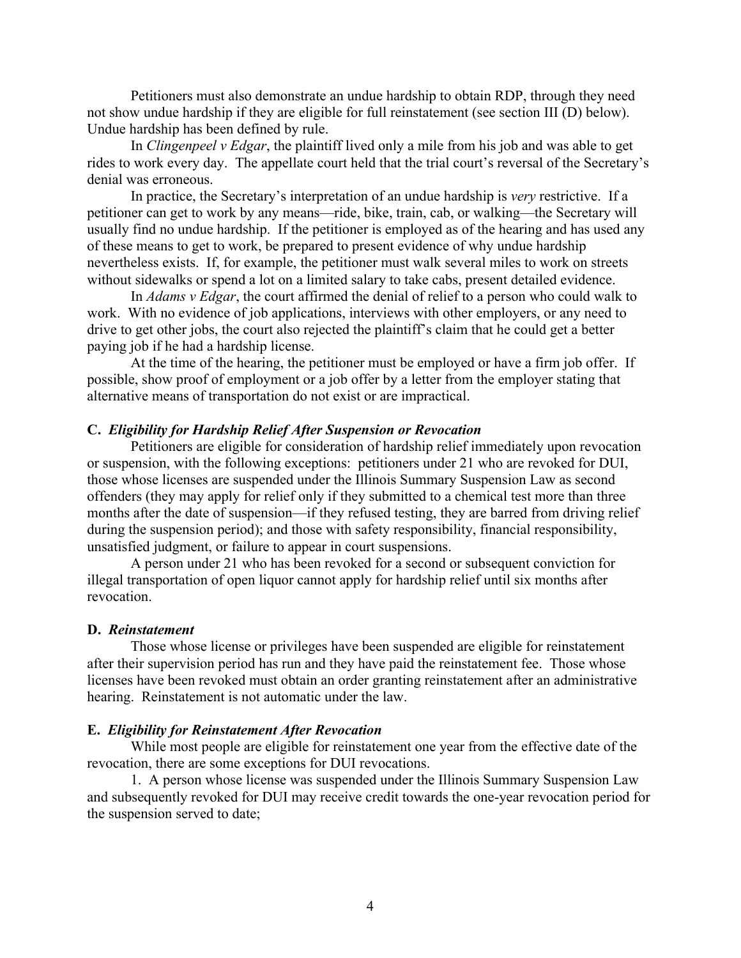Petitioners must also demonstrate an undue hardship to obtain RDP, through they need not show undue hardship if they are eligible for full reinstatement (see section III (D) below). Undue hardship has been defined by rule.

In *Clingenpeel v Edgar*, the plaintiff lived only a mile from his job and was able to get rides to work every day. The appellate court held that the trial court's reversal of the Secretary's denial was erroneous.

In practice, the Secretary's interpretation of an undue hardship is *very* restrictive. If a petitioner can get to work by any means—ride, bike, train, cab, or walking—the Secretary will usually find no undue hardship. If the petitioner is employed as of the hearing and has used any of these means to get to work, be prepared to present evidence of why undue hardship nevertheless exists. If, for example, the petitioner must walk several miles to work on streets without sidewalks or spend a lot on a limited salary to take cabs, present detailed evidence.

In *Adams v Edgar*, the court affirmed the denial of relief to a person who could walk to work. With no evidence of job applications, interviews with other employers, or any need to drive to get other jobs, the court also rejected the plaintiff's claim that he could get a better paying job if he had a hardship license.

At the time of the hearing, the petitioner must be employed or have a firm job offer. If possible, show proof of employment or a job offer by a letter from the employer stating that alternative means of transportation do not exist or are impractical.

#### **C.** *Eligibility for Hardship Relief After Suspension or Revocation*

Petitioners are eligible for consideration of hardship relief immediately upon revocation or suspension, with the following exceptions: petitioners under 21 who are revoked for DUI, those whose licenses are suspended under the Illinois Summary Suspension Law as second offenders (they may apply for relief only if they submitted to a chemical test more than three months after the date of suspension—if they refused testing, they are barred from driving relief during the suspension period); and those with safety responsibility, financial responsibility, unsatisfied judgment, or failure to appear in court suspensions.

A person under 21 who has been revoked for a second or subsequent conviction for illegal transportation of open liquor cannot apply for hardship relief until six months after revocation.

#### **D.** *Reinstatement*

Those whose license or privileges have been suspended are eligible for reinstatement after their supervision period has run and they have paid the reinstatement fee. Those whose licenses have been revoked must obtain an order granting reinstatement after an administrative hearing. Reinstatement is not automatic under the law.

#### **E.** *Eligibility for Reinstatement After Revocation*

While most people are eligible for reinstatement one year from the effective date of the revocation, there are some exceptions for DUI revocations.

1. A person whose license was suspended under the Illinois Summary Suspension Law and subsequently revoked for DUI may receive credit towards the one-year revocation period for the suspension served to date;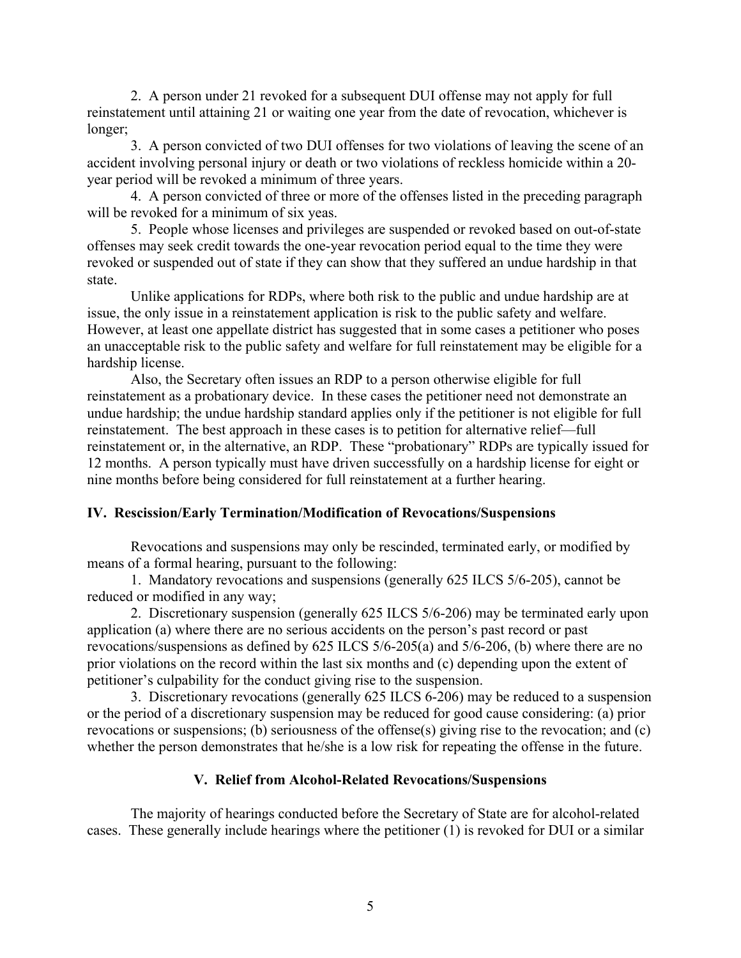2. A person under 21 revoked for a subsequent DUI offense may not apply for full reinstatement until attaining 21 or waiting one year from the date of revocation, whichever is longer;

3. A person convicted of two DUI offenses for two violations of leaving the scene of an accident involving personal injury or death or two violations of reckless homicide within a 20 year period will be revoked a minimum of three years.

4. A person convicted of three or more of the offenses listed in the preceding paragraph will be revoked for a minimum of six yeas.

5. People whose licenses and privileges are suspended or revoked based on out-of-state offenses may seek credit towards the one-year revocation period equal to the time they were revoked or suspended out of state if they can show that they suffered an undue hardship in that state.

Unlike applications for RDPs, where both risk to the public and undue hardship are at issue, the only issue in a reinstatement application is risk to the public safety and welfare. However, at least one appellate district has suggested that in some cases a petitioner who poses an unacceptable risk to the public safety and welfare for full reinstatement may be eligible for a hardship license.

Also, the Secretary often issues an RDP to a person otherwise eligible for full reinstatement as a probationary device. In these cases the petitioner need not demonstrate an undue hardship; the undue hardship standard applies only if the petitioner is not eligible for full reinstatement. The best approach in these cases is to petition for alternative relief—full reinstatement or, in the alternative, an RDP. These "probationary" RDPs are typically issued for 12 months. A person typically must have driven successfully on a hardship license for eight or nine months before being considered for full reinstatement at a further hearing.

# **IV. Rescission/Early Termination/Modification of Revocations/Suspensions**

Revocations and suspensions may only be rescinded, terminated early, or modified by means of a formal hearing, pursuant to the following:

1. Mandatory revocations and suspensions (generally 625 ILCS 5/6-205), cannot be reduced or modified in any way;

2. Discretionary suspension (generally 625 ILCS 5/6-206) may be terminated early upon application (a) where there are no serious accidents on the person's past record or past revocations/suspensions as defined by 625 ILCS 5/6-205(a) and 5/6-206, (b) where there are no prior violations on the record within the last six months and (c) depending upon the extent of petitioner's culpability for the conduct giving rise to the suspension.

3. Discretionary revocations (generally 625 ILCS 6-206) may be reduced to a suspension or the period of a discretionary suspension may be reduced for good cause considering: (a) prior revocations or suspensions; (b) seriousness of the offense(s) giving rise to the revocation; and (c) whether the person demonstrates that he/she is a low risk for repeating the offense in the future.

# **V. Relief from Alcohol-Related Revocations/Suspensions**

The majority of hearings conducted before the Secretary of State are for alcohol-related cases. These generally include hearings where the petitioner (1) is revoked for DUI or a similar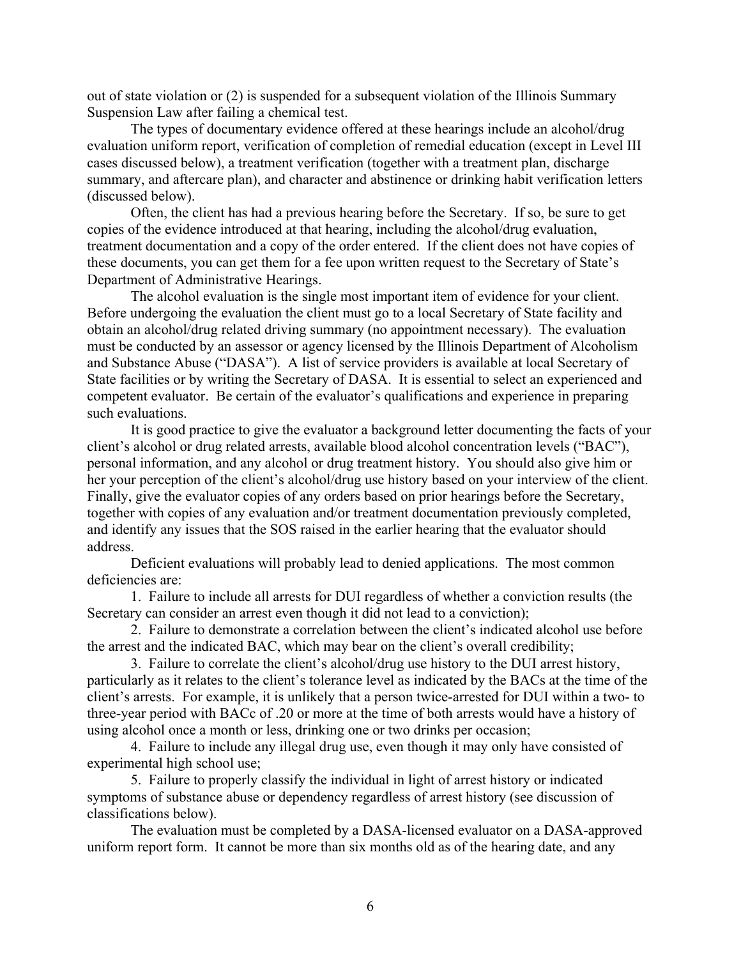out of state violation or (2) is suspended for a subsequent violation of the Illinois Summary Suspension Law after failing a chemical test.

The types of documentary evidence offered at these hearings include an alcohol/drug evaluation uniform report, verification of completion of remedial education (except in Level III cases discussed below), a treatment verification (together with a treatment plan, discharge summary, and aftercare plan), and character and abstinence or drinking habit verification letters (discussed below).

Often, the client has had a previous hearing before the Secretary. If so, be sure to get copies of the evidence introduced at that hearing, including the alcohol/drug evaluation, treatment documentation and a copy of the order entered. If the client does not have copies of these documents, you can get them for a fee upon written request to the Secretary of State's Department of Administrative Hearings.

The alcohol evaluation is the single most important item of evidence for your client. Before undergoing the evaluation the client must go to a local Secretary of State facility and obtain an alcohol/drug related driving summary (no appointment necessary). The evaluation must be conducted by an assessor or agency licensed by the Illinois Department of Alcoholism and Substance Abuse ("DASA"). A list of service providers is available at local Secretary of State facilities or by writing the Secretary of DASA. It is essential to select an experienced and competent evaluator. Be certain of the evaluator's qualifications and experience in preparing such evaluations.

It is good practice to give the evaluator a background letter documenting the facts of your client's alcohol or drug related arrests, available blood alcohol concentration levels ("BAC"), personal information, and any alcohol or drug treatment history. You should also give him or her your perception of the client's alcohol/drug use history based on your interview of the client. Finally, give the evaluator copies of any orders based on prior hearings before the Secretary, together with copies of any evaluation and/or treatment documentation previously completed, and identify any issues that the SOS raised in the earlier hearing that the evaluator should address.

Deficient evaluations will probably lead to denied applications. The most common deficiencies are:

1. Failure to include all arrests for DUI regardless of whether a conviction results (the Secretary can consider an arrest even though it did not lead to a conviction);

2. Failure to demonstrate a correlation between the client's indicated alcohol use before the arrest and the indicated BAC, which may bear on the client's overall credibility;

3. Failure to correlate the client's alcohol/drug use history to the DUI arrest history, particularly as it relates to the client's tolerance level as indicated by the BACs at the time of the client's arrests. For example, it is unlikely that a person twice-arrested for DUI within a two- to three-year period with BACc of .20 or more at the time of both arrests would have a history of using alcohol once a month or less, drinking one or two drinks per occasion;

4. Failure to include any illegal drug use, even though it may only have consisted of experimental high school use;

5. Failure to properly classify the individual in light of arrest history or indicated symptoms of substance abuse or dependency regardless of arrest history (see discussion of classifications below).

The evaluation must be completed by a DASA-licensed evaluator on a DASA-approved uniform report form. It cannot be more than six months old as of the hearing date, and any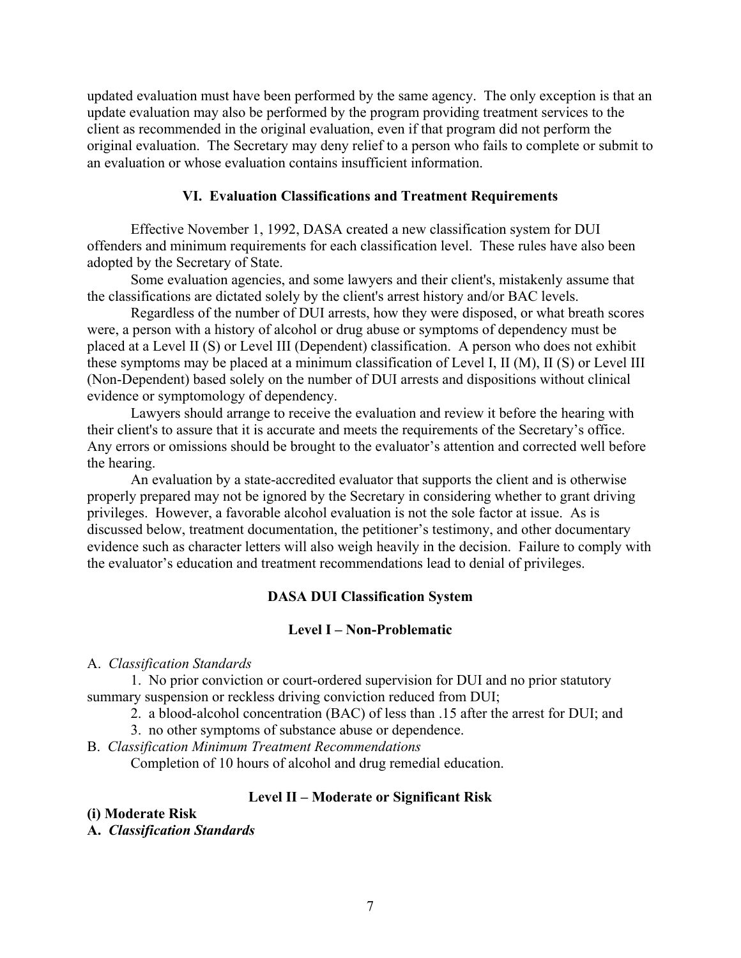updated evaluation must have been performed by the same agency. The only exception is that an update evaluation may also be performed by the program providing treatment services to the client as recommended in the original evaluation, even if that program did not perform the original evaluation. The Secretary may deny relief to a person who fails to complete or submit to an evaluation or whose evaluation contains insufficient information.

## **VI. Evaluation Classifications and Treatment Requirements**

Effective November 1, 1992, DASA created a new classification system for DUI offenders and minimum requirements for each classification level. These rules have also been adopted by the Secretary of State.

Some evaluation agencies, and some lawyers and their client's, mistakenly assume that the classifications are dictated solely by the client's arrest history and/or BAC levels.

Regardless of the number of DUI arrests, how they were disposed, or what breath scores were, a person with a history of alcohol or drug abuse or symptoms of dependency must be placed at a Level II (S) or Level III (Dependent) classification. A person who does not exhibit these symptoms may be placed at a minimum classification of Level I, II (M), II (S) or Level III (Non-Dependent) based solely on the number of DUI arrests and dispositions without clinical evidence or symptomology of dependency.

Lawyers should arrange to receive the evaluation and review it before the hearing with their client's to assure that it is accurate and meets the requirements of the Secretary's office. Any errors or omissions should be brought to the evaluator's attention and corrected well before the hearing.

An evaluation by a state-accredited evaluator that supports the client and is otherwise properly prepared may not be ignored by the Secretary in considering whether to grant driving privileges. However, a favorable alcohol evaluation is not the sole factor at issue. As is discussed below, treatment documentation, the petitioner's testimony, and other documentary evidence such as character letters will also weigh heavily in the decision. Failure to comply with the evaluator's education and treatment recommendations lead to denial of privileges.

#### **DASA DUI Classification System**

#### **Level I – Non-Problematic**

#### A. *Classification Standards*

1. No prior conviction or court-ordered supervision for DUI and no prior statutory summary suspension or reckless driving conviction reduced from DUI;

2. a blood-alcohol concentration (BAC) of less than .15 after the arrest for DUI; and

3. no other symptoms of substance abuse or dependence.

B. *Classification Minimum Treatment Recommendations*

Completion of 10 hours of alcohol and drug remedial education.

## **Level II – Moderate or Significant Risk**

**(i) Moderate Risk**

**A.** *Classification Standards*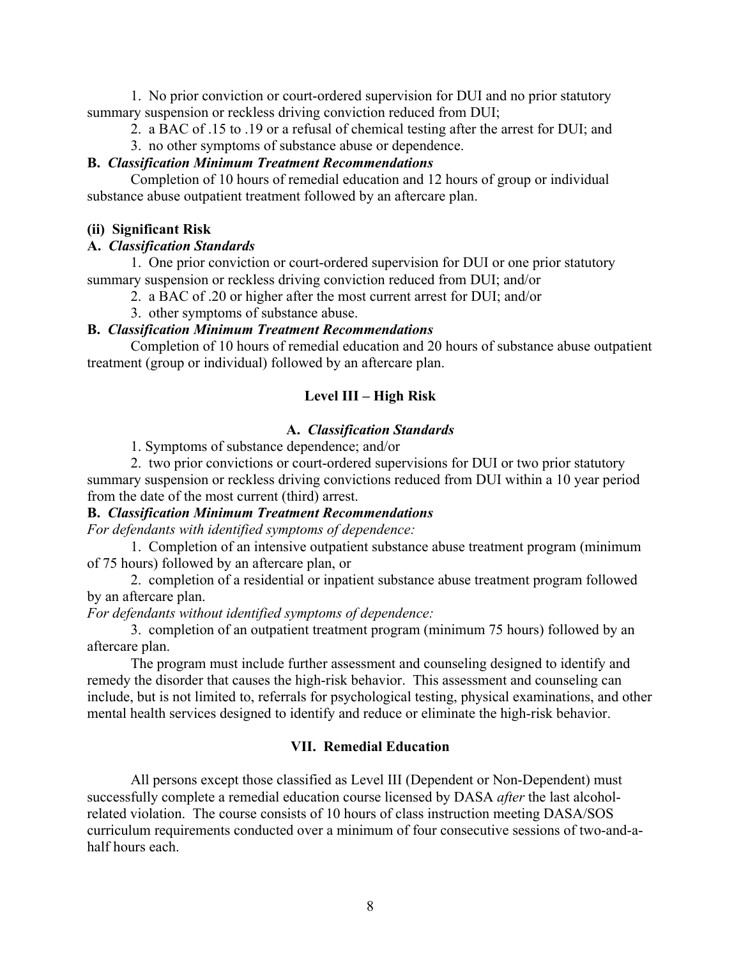1. No prior conviction or court-ordered supervision for DUI and no prior statutory summary suspension or reckless driving conviction reduced from DUI;

2. a BAC of .15 to .19 or a refusal of chemical testing after the arrest for DUI; and

3. no other symptoms of substance abuse or dependence.

# **B.** *Classification Minimum Treatment Recommendations*

Completion of 10 hours of remedial education and 12 hours of group or individual substance abuse outpatient treatment followed by an aftercare plan.

# **(ii) Significant Risk**

# **A.** *Classification Standards*

1. One prior conviction or court-ordered supervision for DUI or one prior statutory summary suspension or reckless driving conviction reduced from DUI; and/or

- 2. a BAC of .20 or higher after the most current arrest for DUI; and/or
- 3. other symptoms of substance abuse.

# **B.** *Classification Minimum Treatment Recommendations*

Completion of 10 hours of remedial education and 20 hours of substance abuse outpatient treatment (group or individual) followed by an aftercare plan.

# **Level III – High Risk**

# **A.** *Classification Standards*

1. Symptoms of substance dependence; and/or

2. two prior convictions or court-ordered supervisions for DUI or two prior statutory summary suspension or reckless driving convictions reduced from DUI within a 10 year period from the date of the most current (third) arrest.

# **B.** *Classification Minimum Treatment Recommendations*

*For defendants with identified symptoms of dependence:*

1. Completion of an intensive outpatient substance abuse treatment program (minimum of 75 hours) followed by an aftercare plan, or

2. completion of a residential or inpatient substance abuse treatment program followed by an aftercare plan.

*For defendants without identified symptoms of dependence:*

3. completion of an outpatient treatment program (minimum 75 hours) followed by an aftercare plan.

The program must include further assessment and counseling designed to identify and remedy the disorder that causes the high-risk behavior. This assessment and counseling can include, but is not limited to, referrals for psychological testing, physical examinations, and other mental health services designed to identify and reduce or eliminate the high-risk behavior.

# **VII. Remedial Education**

All persons except those classified as Level III (Dependent or Non-Dependent) must successfully complete a remedial education course licensed by DASA *after* the last alcoholrelated violation. The course consists of 10 hours of class instruction meeting DASA/SOS curriculum requirements conducted over a minimum of four consecutive sessions of two-and-ahalf hours each.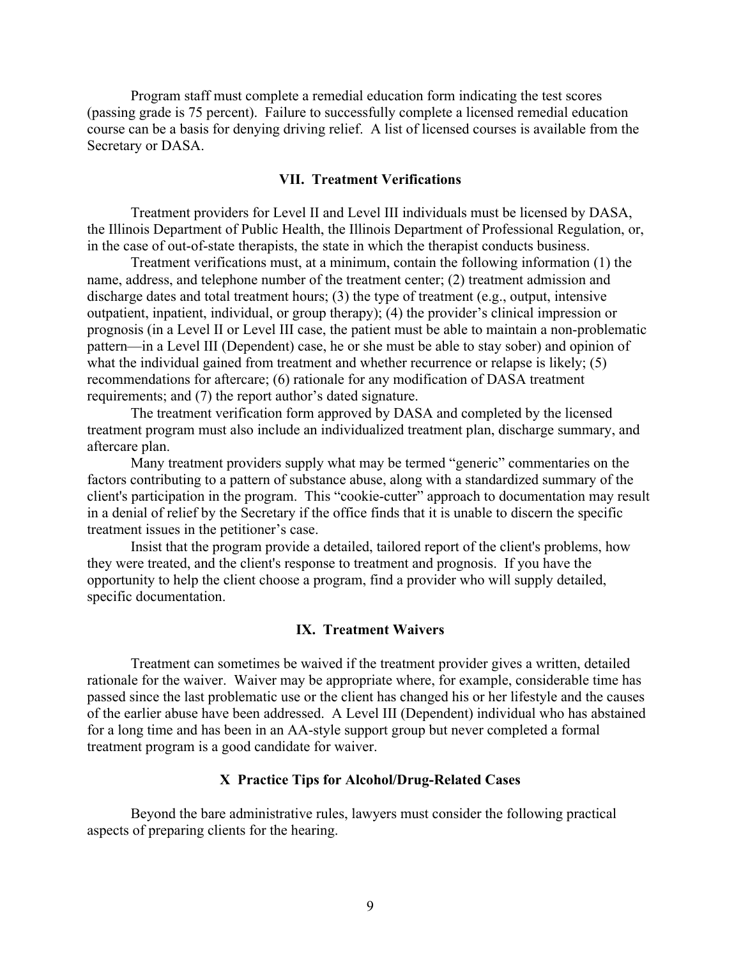Program staff must complete a remedial education form indicating the test scores (passing grade is 75 percent). Failure to successfully complete a licensed remedial education course can be a basis for denying driving relief. A list of licensed courses is available from the Secretary or DASA.

## **VII. Treatment Verifications**

Treatment providers for Level II and Level III individuals must be licensed by DASA, the Illinois Department of Public Health, the Illinois Department of Professional Regulation, or, in the case of out-of-state therapists, the state in which the therapist conducts business.

Treatment verifications must, at a minimum, contain the following information (1) the name, address, and telephone number of the treatment center; (2) treatment admission and discharge dates and total treatment hours; (3) the type of treatment (e.g., output, intensive outpatient, inpatient, individual, or group therapy); (4) the provider's clinical impression or prognosis (in a Level II or Level III case, the patient must be able to maintain a non-problematic pattern—in a Level III (Dependent) case, he or she must be able to stay sober) and opinion of what the individual gained from treatment and whether recurrence or relapse is likely; (5) recommendations for aftercare; (6) rationale for any modification of DASA treatment requirements; and (7) the report author's dated signature.

The treatment verification form approved by DASA and completed by the licensed treatment program must also include an individualized treatment plan, discharge summary, and aftercare plan.

Many treatment providers supply what may be termed "generic" commentaries on the factors contributing to a pattern of substance abuse, along with a standardized summary of the client's participation in the program. This "cookie-cutter" approach to documentation may result in a denial of relief by the Secretary if the office finds that it is unable to discern the specific treatment issues in the petitioner's case.

Insist that the program provide a detailed, tailored report of the client's problems, how they were treated, and the client's response to treatment and prognosis. If you have the opportunity to help the client choose a program, find a provider who will supply detailed, specific documentation.

#### **IX. Treatment Waivers**

Treatment can sometimes be waived if the treatment provider gives a written, detailed rationale for the waiver. Waiver may be appropriate where, for example, considerable time has passed since the last problematic use or the client has changed his or her lifestyle and the causes of the earlier abuse have been addressed. A Level III (Dependent) individual who has abstained for a long time and has been in an AA-style support group but never completed a formal treatment program is a good candidate for waiver.

#### **X Practice Tips for Alcohol/Drug-Related Cases**

Beyond the bare administrative rules, lawyers must consider the following practical aspects of preparing clients for the hearing.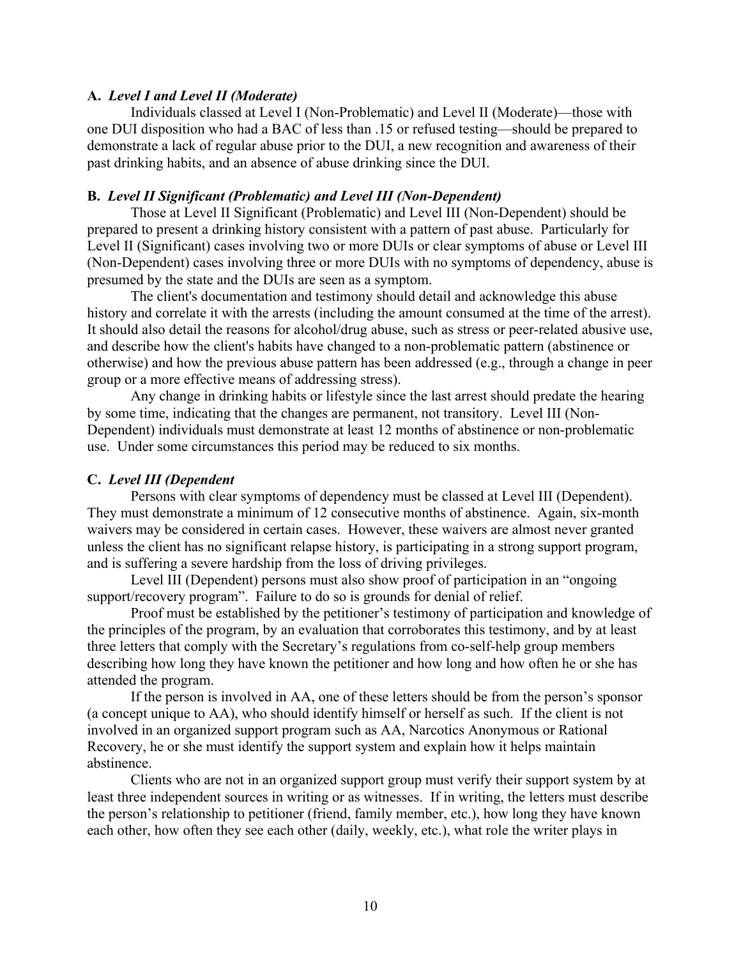# **A.** *Level I and Level II (Moderate)*

Individuals classed at Level I (Non-Problematic) and Level II (Moderate)—those with one DUI disposition who had a BAC of less than .15 or refused testing—should be prepared to demonstrate a lack of regular abuse prior to the DUI, a new recognition and awareness of their past drinking habits, and an absence of abuse drinking since the DUI.

# **B.** *Level II Significant (Problematic) and Level III (Non-Dependent)*

Those at Level II Significant (Problematic) and Level III (Non-Dependent) should be prepared to present a drinking history consistent with a pattern of past abuse. Particularly for Level II (Significant) cases involving two or more DUIs or clear symptoms of abuse or Level III (Non-Dependent) cases involving three or more DUIs with no symptoms of dependency, abuse is presumed by the state and the DUIs are seen as a symptom.

The client's documentation and testimony should detail and acknowledge this abuse history and correlate it with the arrests (including the amount consumed at the time of the arrest). It should also detail the reasons for alcohol/drug abuse, such as stress or peer-related abusive use, and describe how the client's habits have changed to a non-problematic pattern (abstinence or otherwise) and how the previous abuse pattern has been addressed (e.g., through a change in peer group or a more effective means of addressing stress).

Any change in drinking habits or lifestyle since the last arrest should predate the hearing by some time, indicating that the changes are permanent, not transitory. Level III (Non-Dependent) individuals must demonstrate at least 12 months of abstinence or non-problematic use. Under some circumstances this period may be reduced to six months.

# **C.** *Level III (Dependent*

Persons with clear symptoms of dependency must be classed at Level III (Dependent). They must demonstrate a minimum of 12 consecutive months of abstinence. Again, six-month waivers may be considered in certain cases. However, these waivers are almost never granted unless the client has no significant relapse history, is participating in a strong support program, and is suffering a severe hardship from the loss of driving privileges.

Level III (Dependent) persons must also show proof of participation in an "ongoing support/recovery program". Failure to do so is grounds for denial of relief.

Proof must be established by the petitioner's testimony of participation and knowledge of the principles of the program, by an evaluation that corroborates this testimony, and by at least three letters that comply with the Secretary's regulations from co-self-help group members describing how long they have known the petitioner and how long and how often he or she has attended the program.

If the person is involved in AA, one of these letters should be from the person's sponsor (a concept unique to AA), who should identify himself or herself as such. If the client is not involved in an organized support program such as AA, Narcotics Anonymous or Rational Recovery, he or she must identify the support system and explain how it helps maintain abstinence.

Clients who are not in an organized support group must verify their support system by at least three independent sources in writing or as witnesses. If in writing, the letters must describe the person's relationship to petitioner (friend, family member, etc.), how long they have known each other, how often they see each other (daily, weekly, etc.), what role the writer plays in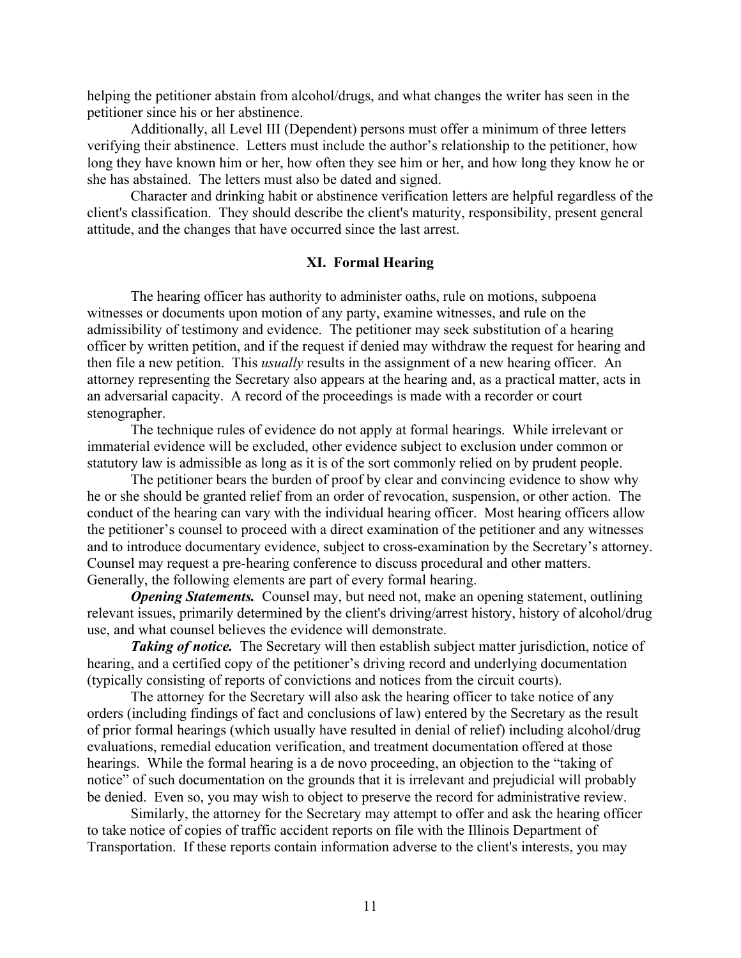helping the petitioner abstain from alcohol/drugs, and what changes the writer has seen in the petitioner since his or her abstinence.

Additionally, all Level III (Dependent) persons must offer a minimum of three letters verifying their abstinence. Letters must include the author's relationship to the petitioner, how long they have known him or her, how often they see him or her, and how long they know he or she has abstained. The letters must also be dated and signed.

Character and drinking habit or abstinence verification letters are helpful regardless of the client's classification. They should describe the client's maturity, responsibility, present general attitude, and the changes that have occurred since the last arrest.

#### **XI. Formal Hearing**

The hearing officer has authority to administer oaths, rule on motions, subpoena witnesses or documents upon motion of any party, examine witnesses, and rule on the admissibility of testimony and evidence. The petitioner may seek substitution of a hearing officer by written petition, and if the request if denied may withdraw the request for hearing and then file a new petition. This *usually* results in the assignment of a new hearing officer. An attorney representing the Secretary also appears at the hearing and, as a practical matter, acts in an adversarial capacity. A record of the proceedings is made with a recorder or court stenographer.

The technique rules of evidence do not apply at formal hearings. While irrelevant or immaterial evidence will be excluded, other evidence subject to exclusion under common or statutory law is admissible as long as it is of the sort commonly relied on by prudent people.

The petitioner bears the burden of proof by clear and convincing evidence to show why he or she should be granted relief from an order of revocation, suspension, or other action. The conduct of the hearing can vary with the individual hearing officer. Most hearing officers allow the petitioner's counsel to proceed with a direct examination of the petitioner and any witnesses and to introduce documentary evidence, subject to cross-examination by the Secretary's attorney. Counsel may request a pre-hearing conference to discuss procedural and other matters. Generally, the following elements are part of every formal hearing.

*Opening Statements.* Counsel may, but need not, make an opening statement, outlining relevant issues, primarily determined by the client's driving/arrest history, history of alcohol/drug use, and what counsel believes the evidence will demonstrate.

**Taking of notice.** The Secretary will then establish subject matter jurisdiction, notice of hearing, and a certified copy of the petitioner's driving record and underlying documentation (typically consisting of reports of convictions and notices from the circuit courts).

The attorney for the Secretary will also ask the hearing officer to take notice of any orders (including findings of fact and conclusions of law) entered by the Secretary as the result of prior formal hearings (which usually have resulted in denial of relief) including alcohol/drug evaluations, remedial education verification, and treatment documentation offered at those hearings. While the formal hearing is a de novo proceeding, an objection to the "taking of notice" of such documentation on the grounds that it is irrelevant and prejudicial will probably be denied. Even so, you may wish to object to preserve the record for administrative review.

Similarly, the attorney for the Secretary may attempt to offer and ask the hearing officer to take notice of copies of traffic accident reports on file with the Illinois Department of Transportation. If these reports contain information adverse to the client's interests, you may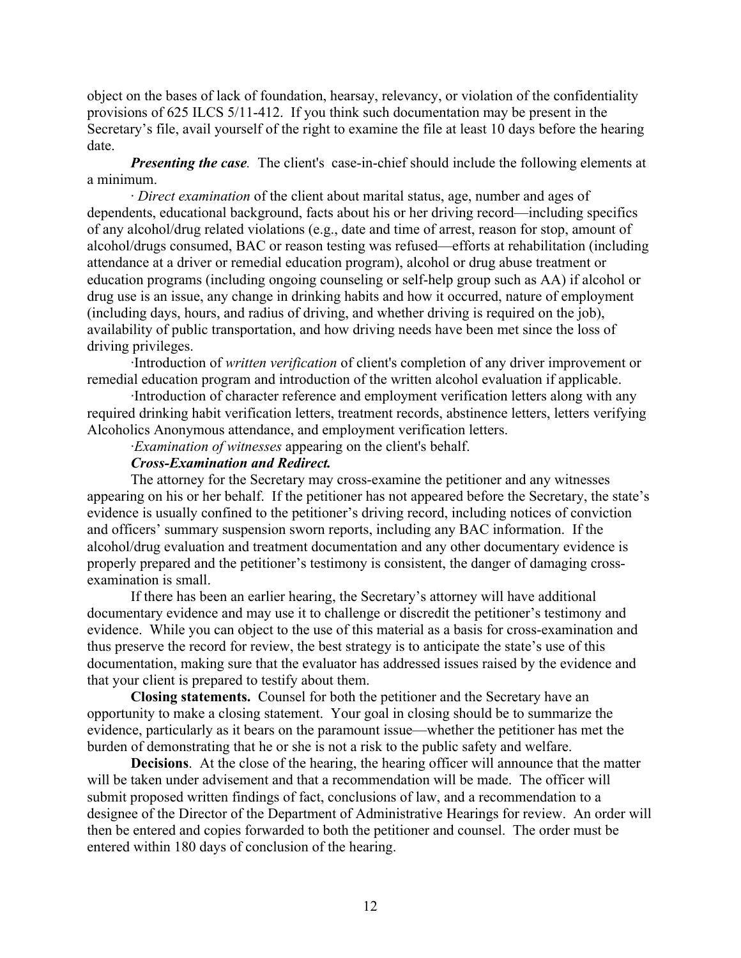object on the bases of lack of foundation, hearsay, relevancy, or violation of the confidentiality provisions of 625 ILCS 5/11-412. If you think such documentation may be present in the Secretary's file, avail yourself of the right to examine the file at least 10 days before the hearing date.

*Presenting the case.* The client's case-in-chief should include the following elements at a minimum.

· *Direct examination* of the client about marital status, age, number and ages of dependents, educational background, facts about his or her driving record—including specifics of any alcohol/drug related violations (e.g., date and time of arrest, reason for stop, amount of alcohol/drugs consumed, BAC or reason testing was refused—efforts at rehabilitation (including attendance at a driver or remedial education program), alcohol or drug abuse treatment or education programs (including ongoing counseling or self-help group such as AA) if alcohol or drug use is an issue, any change in drinking habits and how it occurred, nature of employment (including days, hours, and radius of driving, and whether driving is required on the job), availability of public transportation, and how driving needs have been met since the loss of driving privileges.

·Introduction of *written verification* of client's completion of any driver improvement or remedial education program and introduction of the written alcohol evaluation if applicable.

·Introduction of character reference and employment verification letters along with any required drinking habit verification letters, treatment records, abstinence letters, letters verifying Alcoholics Anonymous attendance, and employment verification letters.

·*Examination of witnesses* appearing on the client's behalf.

## *Cross-Examination and Redirect.*

The attorney for the Secretary may cross-examine the petitioner and any witnesses appearing on his or her behalf. If the petitioner has not appeared before the Secretary, the state's evidence is usually confined to the petitioner's driving record, including notices of conviction and officers' summary suspension sworn reports, including any BAC information. If the alcohol/drug evaluation and treatment documentation and any other documentary evidence is properly prepared and the petitioner's testimony is consistent, the danger of damaging crossexamination is small.

If there has been an earlier hearing, the Secretary's attorney will have additional documentary evidence and may use it to challenge or discredit the petitioner's testimony and evidence. While you can object to the use of this material as a basis for cross-examination and thus preserve the record for review, the best strategy is to anticipate the state's use of this documentation, making sure that the evaluator has addressed issues raised by the evidence and that your client is prepared to testify about them.

**Closing statements.** Counsel for both the petitioner and the Secretary have an opportunity to make a closing statement. Your goal in closing should be to summarize the evidence, particularly as it bears on the paramount issue—whether the petitioner has met the burden of demonstrating that he or she is not a risk to the public safety and welfare.

**Decisions**. At the close of the hearing, the hearing officer will announce that the matter will be taken under advisement and that a recommendation will be made. The officer will submit proposed written findings of fact, conclusions of law, and a recommendation to a designee of the Director of the Department of Administrative Hearings for review. An order will then be entered and copies forwarded to both the petitioner and counsel. The order must be entered within 180 days of conclusion of the hearing.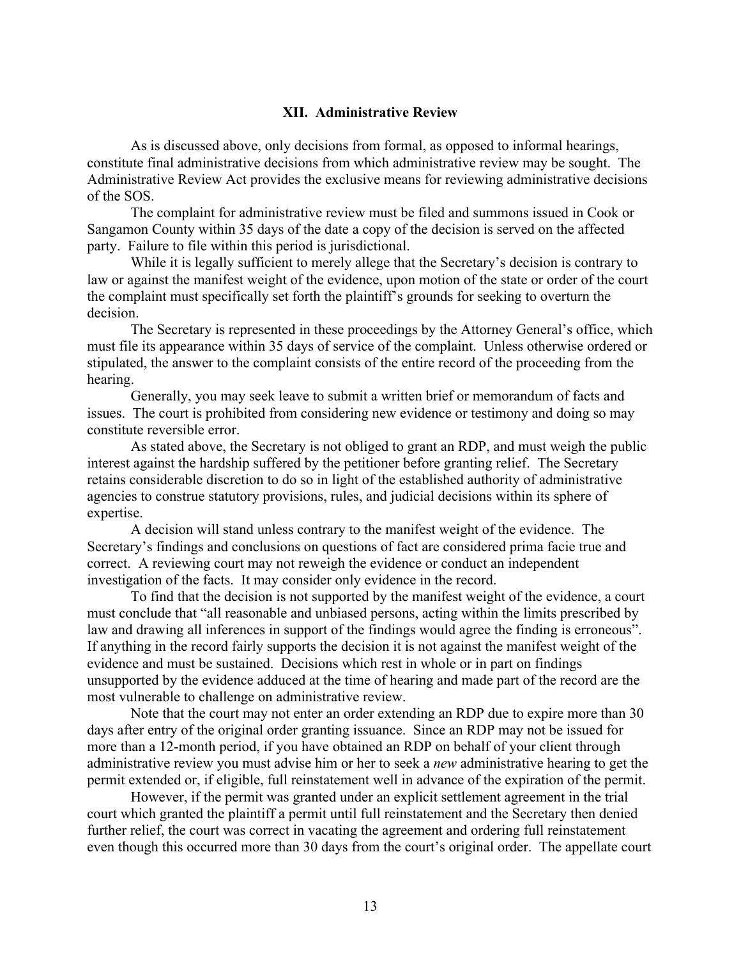## **XII. Administrative Review**

As is discussed above, only decisions from formal, as opposed to informal hearings, constitute final administrative decisions from which administrative review may be sought. The Administrative Review Act provides the exclusive means for reviewing administrative decisions of the SOS.

The complaint for administrative review must be filed and summons issued in Cook or Sangamon County within 35 days of the date a copy of the decision is served on the affected party. Failure to file within this period is jurisdictional.

While it is legally sufficient to merely allege that the Secretary's decision is contrary to law or against the manifest weight of the evidence, upon motion of the state or order of the court the complaint must specifically set forth the plaintiff's grounds for seeking to overturn the decision.

The Secretary is represented in these proceedings by the Attorney General's office, which must file its appearance within 35 days of service of the complaint. Unless otherwise ordered or stipulated, the answer to the complaint consists of the entire record of the proceeding from the hearing.

Generally, you may seek leave to submit a written brief or memorandum of facts and issues. The court is prohibited from considering new evidence or testimony and doing so may constitute reversible error.

As stated above, the Secretary is not obliged to grant an RDP, and must weigh the public interest against the hardship suffered by the petitioner before granting relief. The Secretary retains considerable discretion to do so in light of the established authority of administrative agencies to construe statutory provisions, rules, and judicial decisions within its sphere of expertise.

A decision will stand unless contrary to the manifest weight of the evidence. The Secretary's findings and conclusions on questions of fact are considered prima facie true and correct. A reviewing court may not reweigh the evidence or conduct an independent investigation of the facts. It may consider only evidence in the record.

To find that the decision is not supported by the manifest weight of the evidence, a court must conclude that "all reasonable and unbiased persons, acting within the limits prescribed by law and drawing all inferences in support of the findings would agree the finding is erroneous". If anything in the record fairly supports the decision it is not against the manifest weight of the evidence and must be sustained. Decisions which rest in whole or in part on findings unsupported by the evidence adduced at the time of hearing and made part of the record are the most vulnerable to challenge on administrative review.

Note that the court may not enter an order extending an RDP due to expire more than 30 days after entry of the original order granting issuance. Since an RDP may not be issued for more than a 12-month period, if you have obtained an RDP on behalf of your client through administrative review you must advise him or her to seek a *new* administrative hearing to get the permit extended or, if eligible, full reinstatement well in advance of the expiration of the permit.

However, if the permit was granted under an explicit settlement agreement in the trial court which granted the plaintiff a permit until full reinstatement and the Secretary then denied further relief, the court was correct in vacating the agreement and ordering full reinstatement even though this occurred more than 30 days from the court's original order. The appellate court